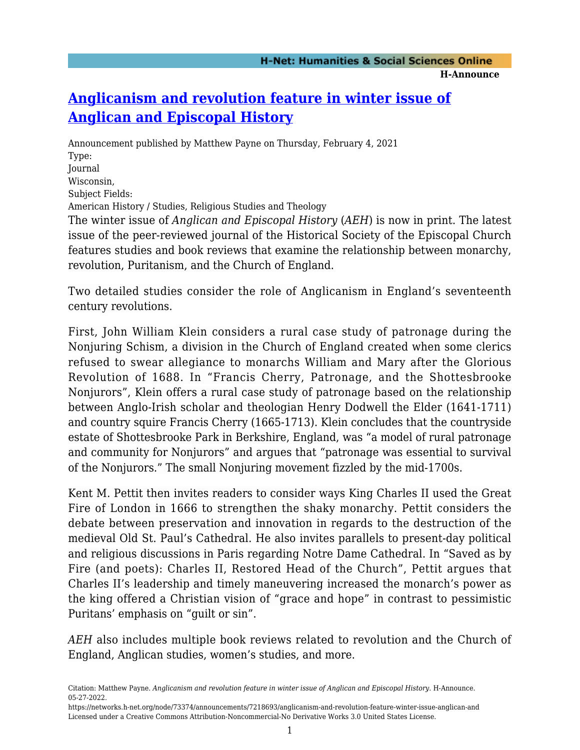## **[Anglicanism and revolution feature in winter issue of](https://networks.h-net.org/node/73374/announcements/7218693/anglicanism-and-revolution-feature-winter-issue-anglican-and) [Anglican and Episcopal History](https://networks.h-net.org/node/73374/announcements/7218693/anglicanism-and-revolution-feature-winter-issue-anglican-and)**

Announcement published by Matthew Payne on Thursday, February 4, 2021 Type: Journal Wisconsin, Subject Fields: American History / Studies, Religious Studies and Theology The winter issue of *Anglican and Episcopal History* (*AEH*) is now in print. The latest issue of the peer-reviewed journal of the Historical Society of the Episcopal Church features studies and book reviews that examine the relationship between monarchy, revolution, Puritanism, and the Church of England.

Two detailed studies consider the role of Anglicanism in England's seventeenth century revolutions.

First, John William Klein considers a rural case study of patronage during the Nonjuring Schism, a division in the Church of England created when some clerics refused to swear allegiance to monarchs William and Mary after the Glorious Revolution of 1688. In "Francis Cherry, Patronage, and the Shottesbrooke Nonjurors", Klein offers a rural case study of patronage based on the relationship between Anglo-Irish scholar and theologian Henry Dodwell the Elder (1641-1711) and country squire Francis Cherry (1665-1713). Klein concludes that the countryside estate of Shottesbrooke Park in Berkshire, England, was "a model of rural patronage and community for Nonjurors" and argues that "patronage was essential to survival of the Nonjurors." The small Nonjuring movement fizzled by the mid-1700s.

Kent M. Pettit then invites readers to consider ways King Charles II used the Great Fire of London in 1666 to strengthen the shaky monarchy. Pettit considers the debate between preservation and innovation in regards to the destruction of the medieval Old St. Paul's Cathedral. He also invites parallels to present-day political and religious discussions in Paris regarding Notre Dame Cathedral. In "Saved as by Fire (and poets): Charles II, Restored Head of the Church", Pettit argues that Charles II's leadership and timely maneuvering increased the monarch's power as the king offered a Christian vision of "grace and hope" in contrast to pessimistic Puritans' emphasis on "guilt or sin".

*AEH* also includes multiple book reviews related to revolution and the Church of England, Anglican studies, women's studies, and more.

Citation: Matthew Payne. *Anglicanism and revolution feature in winter issue of Anglican and Episcopal History*. H-Announce. 05-27-2022.

https://networks.h-net.org/node/73374/announcements/7218693/anglicanism-and-revolution-feature-winter-issue-anglican-and Licensed under a Creative Commons Attribution-Noncommercial-No Derivative Works 3.0 United States License.